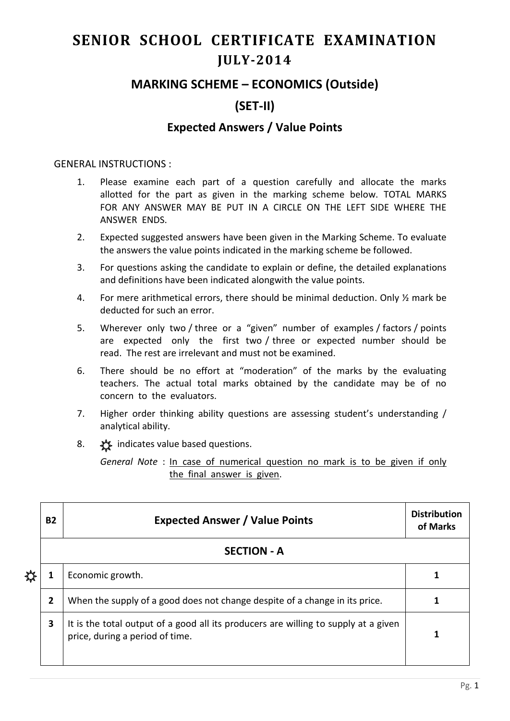# **SENIOR SCHOOL CERTIFICATE EXAMINATION JULY-2014**

## **MARKING SCHEME – ECONOMICS (Outside)**

## **(SET-II)**

#### **Expected Answers / Value Points**

#### GENERAL INSTRUCTIONS :

- 1. Please examine each part of a question carefully and allocate the marks allotted for the part as given in the marking scheme below. TOTAL MARKS FOR ANY ANSWER MAY BE PUT IN A CIRCLE ON THE LEFT SIDE WHERE THE ANSWER ENDS.
- 2. Expected suggested answers have been given in the Marking Scheme. To evaluate the answers the value points indicated in the marking scheme be followed.
- 3. For questions asking the candidate to explain or define, the detailed explanations and definitions have been indicated alongwith the value points.
- 4. For mere arithmetical errors, there should be minimal deduction. Only ½ mark be deducted for such an error.
- 5. Wherever only two / three or a "given" number of examples / factors / points are expected only the first two / three or expected number should be read. The rest are irrelevant and must not be examined.
- 6. There should be no effort at "moderation" of the marks by the evaluating teachers. The actual total marks obtained by the candidate may be of no concern to the evaluators.
- 7. Higher order thinking ability questions are assessing student's understanding / analytical ability.
- 8.  $\frac{1}{2}$  indicates value based questions.

*General Note* : In case of numerical question no mark is to be given if only the final answer is given.

| ₩ | <b>B2</b> | <b>Expected Answer / Value Points</b>                                                                                  | <b>Distribution</b><br>of Marks |  |  |  |
|---|-----------|------------------------------------------------------------------------------------------------------------------------|---------------------------------|--|--|--|
|   |           | <b>SECTION - A</b>                                                                                                     |                                 |  |  |  |
|   |           | Economic growth.                                                                                                       |                                 |  |  |  |
|   | 2         | When the supply of a good does not change despite of a change in its price.                                            |                                 |  |  |  |
|   | 3         | It is the total output of a good all its producers are willing to supply at a given<br>price, during a period of time. |                                 |  |  |  |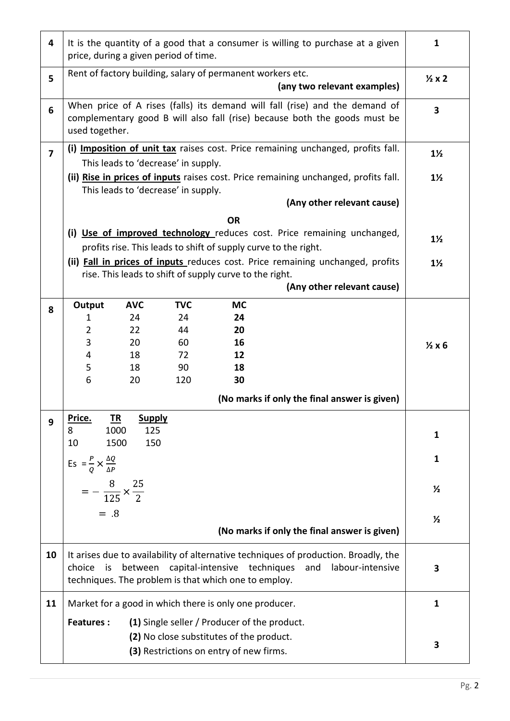| 4              | It is the quantity of a good that a consumer is willing to purchase at a given<br>price, during a given period of time.                                                                                                        |                                                                                  |                                     |                                                         | $\mathbf{1}$                                                                                                                               |                         |
|----------------|--------------------------------------------------------------------------------------------------------------------------------------------------------------------------------------------------------------------------------|----------------------------------------------------------------------------------|-------------------------------------|---------------------------------------------------------|--------------------------------------------------------------------------------------------------------------------------------------------|-------------------------|
| 5              | Rent of factory building, salary of permanent workers etc.<br>(any two relevant examples)                                                                                                                                      |                                                                                  |                                     |                                                         | $\frac{1}{2}x2$                                                                                                                            |                         |
| 6              | When price of A rises (falls) its demand will fall (rise) and the demand of<br>complementary good B will also fall (rise) because both the goods must be<br>used together.                                                     |                                                                                  |                                     |                                                         |                                                                                                                                            | $\overline{\mathbf{3}}$ |
| $\overline{7}$ |                                                                                                                                                                                                                                | (i) Imposition of unit tax raises cost. Price remaining unchanged, profits fall. |                                     |                                                         |                                                                                                                                            | $1\frac{1}{2}$          |
|                | This leads to 'decrease' in supply.                                                                                                                                                                                            |                                                                                  |                                     |                                                         |                                                                                                                                            |                         |
|                |                                                                                                                                                                                                                                |                                                                                  | This leads to 'decrease' in supply. |                                                         | (ii) Rise in prices of inputs raises cost. Price remaining unchanged, profits fall.                                                        | $1\frac{1}{2}$          |
|                |                                                                                                                                                                                                                                |                                                                                  |                                     |                                                         | (Any other relevant cause)                                                                                                                 |                         |
|                |                                                                                                                                                                                                                                |                                                                                  |                                     | <b>OR</b>                                               |                                                                                                                                            |                         |
|                |                                                                                                                                                                                                                                |                                                                                  |                                     |                                                         | (i) Use of improved technology reduces cost. Price remaining unchanged,<br>profits rise. This leads to shift of supply curve to the right. | $1\frac{1}{2}$          |
|                |                                                                                                                                                                                                                                |                                                                                  |                                     | rise. This leads to shift of supply curve to the right. | (ii) Fall in prices of inputs reduces cost. Price remaining unchanged, profits                                                             | $1\frac{1}{2}$          |
|                |                                                                                                                                                                                                                                |                                                                                  |                                     |                                                         | (Any other relevant cause)                                                                                                                 |                         |
| 8              | Output                                                                                                                                                                                                                         | <b>AVC</b>                                                                       | <b>TVC</b>                          | <b>MC</b>                                               |                                                                                                                                            |                         |
|                | 1                                                                                                                                                                                                                              | 24                                                                               | 24                                  | 24                                                      |                                                                                                                                            |                         |
|                | $\overline{2}$                                                                                                                                                                                                                 | 22                                                                               | 44                                  | 20                                                      |                                                                                                                                            |                         |
|                | 3                                                                                                                                                                                                                              | 20                                                                               | 60                                  | 16                                                      |                                                                                                                                            | $\frac{1}{2}x6$         |
|                | 4                                                                                                                                                                                                                              | 18                                                                               | 72                                  | 12                                                      |                                                                                                                                            |                         |
|                | 5                                                                                                                                                                                                                              | 18                                                                               | 90                                  | 18                                                      |                                                                                                                                            |                         |
|                | 6                                                                                                                                                                                                                              | 20                                                                               | 120                                 | 30                                                      |                                                                                                                                            |                         |
|                |                                                                                                                                                                                                                                |                                                                                  |                                     |                                                         | (No marks if only the final answer is given)                                                                                               |                         |
| 9              | Price.                                                                                                                                                                                                                         | <u>TR</u><br><b>Supply</b>                                                       |                                     |                                                         |                                                                                                                                            |                         |
|                | 8<br>10                                                                                                                                                                                                                        | 1000<br>125                                                                      |                                     |                                                         |                                                                                                                                            | 1                       |
|                |                                                                                                                                                                                                                                | 1500<br>150                                                                      |                                     |                                                         |                                                                                                                                            |                         |
|                | Es = $\frac{P}{Q} \times \frac{\Delta Q}{\Delta P}$                                                                                                                                                                            |                                                                                  |                                     |                                                         |                                                                                                                                            | 1                       |
|                | $=-\frac{8}{125} \times \frac{25}{2}$                                                                                                                                                                                          |                                                                                  |                                     |                                                         |                                                                                                                                            | $\frac{1}{2}$           |
|                |                                                                                                                                                                                                                                |                                                                                  |                                     |                                                         |                                                                                                                                            |                         |
|                | $= .8$                                                                                                                                                                                                                         |                                                                                  |                                     |                                                         |                                                                                                                                            | $\frac{1}{2}$           |
|                |                                                                                                                                                                                                                                |                                                                                  |                                     |                                                         | (No marks if only the final answer is given)                                                                                               |                         |
| 10             | It arises due to availability of alternative techniques of production. Broadly, the<br>between capital-intensive techniques<br>labour-intensive<br>and<br>choice<br>is<br>techniques. The problem is that which one to employ. |                                                                                  |                                     |                                                         | 3                                                                                                                                          |                         |
| 11             |                                                                                                                                                                                                                                |                                                                                  |                                     | Market for a good in which there is only one producer.  |                                                                                                                                            | $\mathbf{1}$            |
|                | (1) Single seller / Producer of the product.<br><b>Features:</b>                                                                                                                                                               |                                                                                  |                                     |                                                         |                                                                                                                                            |                         |
|                | (2) No close substitutes of the product.                                                                                                                                                                                       |                                                                                  |                                     |                                                         |                                                                                                                                            |                         |
|                |                                                                                                                                                                                                                                |                                                                                  |                                     |                                                         | 3                                                                                                                                          |                         |
|                | (3) Restrictions on entry of new firms.                                                                                                                                                                                        |                                                                                  |                                     |                                                         |                                                                                                                                            |                         |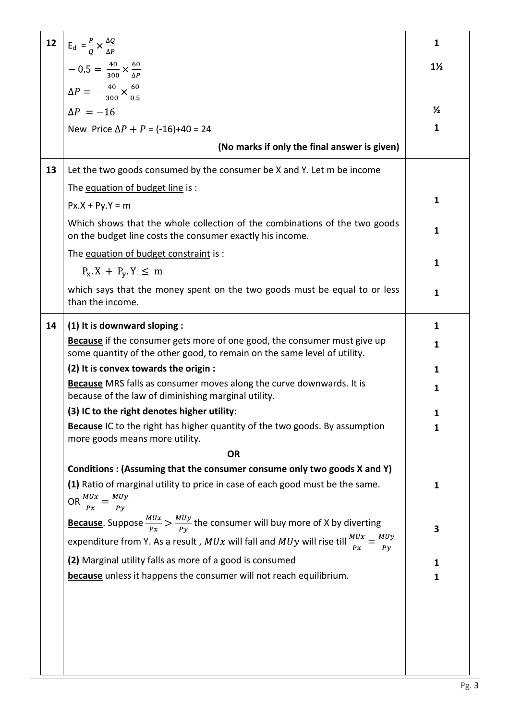| 12 | $E_d = \frac{P}{Q} \times \frac{\Delta Q}{\Delta P}$                                                                                                        | $\mathbf{1}$   |  |  |  |  |
|----|-------------------------------------------------------------------------------------------------------------------------------------------------------------|----------------|--|--|--|--|
|    | $-0.5 = \frac{40}{300} \times \frac{60}{\Delta P}$                                                                                                          | $1\frac{1}{2}$ |  |  |  |  |
|    | $\Delta P = -\frac{40}{300} \times \frac{60}{0.5}$                                                                                                          |                |  |  |  |  |
|    | $\Delta P = -16$                                                                                                                                            | $\frac{1}{2}$  |  |  |  |  |
|    | New Price $\Delta P + P = (-16)+40 = 24$                                                                                                                    | $\mathbf{1}$   |  |  |  |  |
|    | (No marks if only the final answer is given)                                                                                                                |                |  |  |  |  |
| 13 | Let the two goods consumed by the consumer be X and Y. Let m be income                                                                                      |                |  |  |  |  |
|    | The equation of budget line is :                                                                                                                            |                |  |  |  |  |
|    | $Px.X + Py.Y = m$                                                                                                                                           | $\mathbf{1}$   |  |  |  |  |
|    | Which shows that the whole collection of the combinations of the two goods<br>on the budget line costs the consumer exactly his income.                     | $\mathbf{1}$   |  |  |  |  |
|    | The equation of budget constraint is :                                                                                                                      | $\mathbf{1}$   |  |  |  |  |
|    | $P_X$ X + $P_V$ Y $\leq$ m                                                                                                                                  |                |  |  |  |  |
|    | which says that the money spent on the two goods must be equal to or less<br>than the income.                                                               | $\mathbf{1}$   |  |  |  |  |
| 14 | (1) It is downward sloping :                                                                                                                                | $\mathbf{1}$   |  |  |  |  |
|    | <b>Because</b> if the consumer gets more of one good, the consumer must give up<br>some quantity of the other good, to remain on the same level of utility. | 1              |  |  |  |  |
|    | (2) It is convex towards the origin :                                                                                                                       | $\mathbf{1}$   |  |  |  |  |
|    | Because MRS falls as consumer moves along the curve downwards. It is<br>because of the law of diminishing marginal utility.                                 | 1              |  |  |  |  |
|    | (3) IC to the right denotes higher utility:                                                                                                                 | 1              |  |  |  |  |
|    | <b>Because</b> IC to the right has higher quantity of the two goods. By assumption<br>more goods means more utility.                                        | 1              |  |  |  |  |
|    | <b>OR</b>                                                                                                                                                   |                |  |  |  |  |
|    | Conditions: (Assuming that the consumer consume only two goods X and Y)                                                                                     |                |  |  |  |  |
|    | (1) Ratio of marginal utility to price in case of each good must be the same.<br>OR $\frac{MUx}{Px} = \frac{MUy}{Py}$                                       | $\mathbf{1}$   |  |  |  |  |
|    | <b>Because</b> . Suppose $\frac{M U x}{P x} > \frac{M U y}{P y}$ the consumer will buy more of X by diverting                                               | 3              |  |  |  |  |
|    | expenditure from Y. As a result, $MUx$ will fall and $MUy$ will rise till $\frac{MUx}{Px} = \frac{MUy}{Py}$                                                 |                |  |  |  |  |
|    | (2) Marginal utility falls as more of a good is consumed                                                                                                    | 1              |  |  |  |  |
|    | because unless it happens the consumer will not reach equilibrium.                                                                                          | 1              |  |  |  |  |
|    |                                                                                                                                                             |                |  |  |  |  |
|    |                                                                                                                                                             |                |  |  |  |  |
|    |                                                                                                                                                             |                |  |  |  |  |
|    |                                                                                                                                                             |                |  |  |  |  |
|    |                                                                                                                                                             |                |  |  |  |  |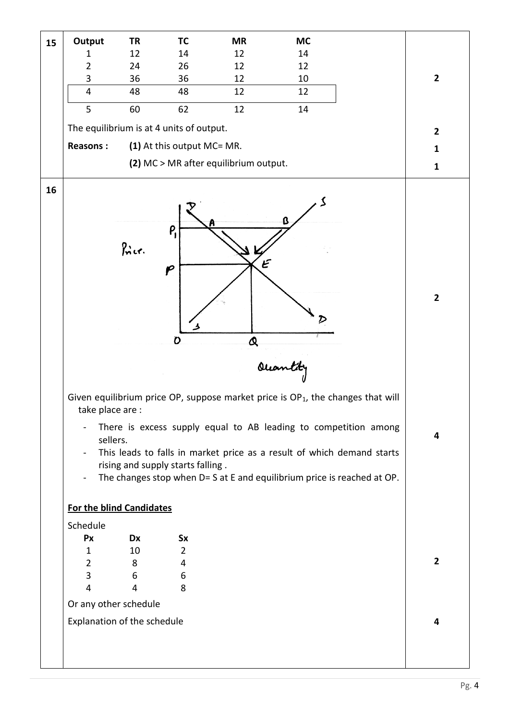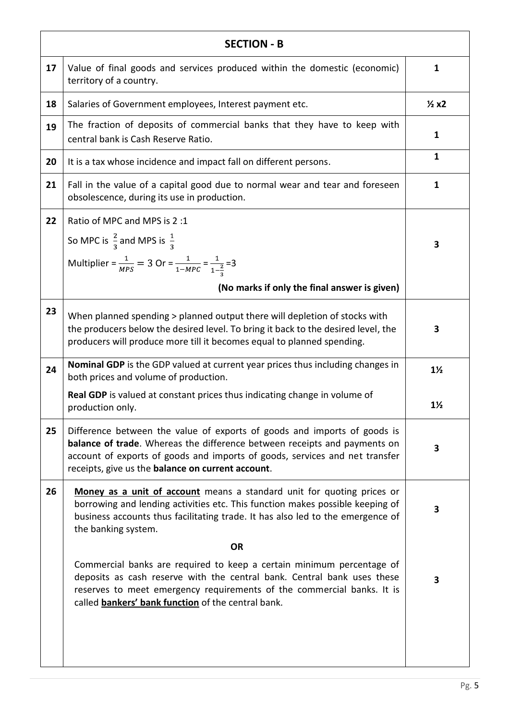| <b>SECTION - B</b> |                                                                                                                                                                                                                                                                                                   |                         |  |  |
|--------------------|---------------------------------------------------------------------------------------------------------------------------------------------------------------------------------------------------------------------------------------------------------------------------------------------------|-------------------------|--|--|
| 17                 | Value of final goods and services produced within the domestic (economic)<br>territory of a country.                                                                                                                                                                                              | $\mathbf{1}$            |  |  |
| 18                 | Salaries of Government employees, Interest payment etc.                                                                                                                                                                                                                                           | $\frac{1}{2}x^2$        |  |  |
| 19                 | The fraction of deposits of commercial banks that they have to keep with<br>central bank is Cash Reserve Ratio.                                                                                                                                                                                   | $\mathbf{1}$            |  |  |
| 20                 | It is a tax whose incidence and impact fall on different persons.                                                                                                                                                                                                                                 | $\mathbf{1}$            |  |  |
| 21                 | Fall in the value of a capital good due to normal wear and tear and foreseen<br>obsolescence, during its use in production.                                                                                                                                                                       | 1                       |  |  |
| 22                 | Ratio of MPC and MPS is 2:1<br>So MPC is $\frac{2}{3}$ and MPS is $\frac{1}{3}$<br>Multiplier = $\frac{1}{MPS}$ = 3 Or = $\frac{1}{1-MPC}$ = $\frac{1}{1-\frac{2}{3}}$ = 3                                                                                                                        | 3                       |  |  |
|                    | (No marks if only the final answer is given)                                                                                                                                                                                                                                                      |                         |  |  |
| 23                 | When planned spending > planned output there will depletion of stocks with<br>the producers below the desired level. To bring it back to the desired level, the<br>producers will produce more till it becomes equal to planned spending.                                                         | 3                       |  |  |
| 24                 | <b>Nominal GDP</b> is the GDP valued at current year prices thus including changes in<br>both prices and volume of production.                                                                                                                                                                    | $1\frac{1}{2}$          |  |  |
|                    | <b>Real GDP</b> is valued at constant prices thus indicating change in volume of<br>production only.                                                                                                                                                                                              | $1\frac{1}{2}$          |  |  |
| 25                 | Difference between the value of exports of goods and imports of goods is<br><b>balance of trade</b> . Whereas the difference between receipts and payments on<br>account of exports of goods and imports of goods, services and net transfer<br>receipts, give us the balance on current account. | 3                       |  |  |
| 26                 | Money as a unit of account means a standard unit for quoting prices or<br>borrowing and lending activities etc. This function makes possible keeping of<br>business accounts thus facilitating trade. It has also led to the emergence of<br>the banking system.                                  | 3                       |  |  |
|                    | <b>OR</b>                                                                                                                                                                                                                                                                                         |                         |  |  |
|                    | Commercial banks are required to keep a certain minimum percentage of<br>deposits as cash reserve with the central bank. Central bank uses these<br>reserves to meet emergency requirements of the commercial banks. It is<br>called <b>bankers' bank function</b> of the central bank.           | $\overline{\mathbf{3}}$ |  |  |
|                    |                                                                                                                                                                                                                                                                                                   |                         |  |  |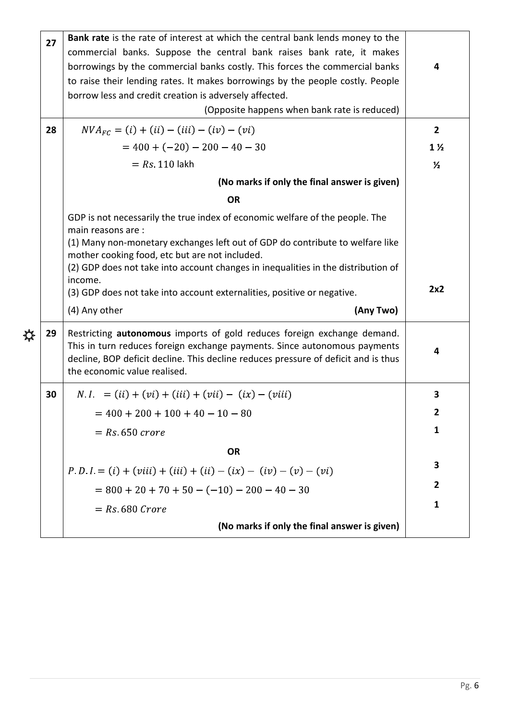|    | Bank rate is the rate of interest at which the central bank lends money to the                                                                                                                                                                                             |                                                                                                        |
|----|----------------------------------------------------------------------------------------------------------------------------------------------------------------------------------------------------------------------------------------------------------------------------|--------------------------------------------------------------------------------------------------------|
|    | commercial banks. Suppose the central bank raises bank rate, it makes                                                                                                                                                                                                      |                                                                                                        |
|    | borrowings by the commercial banks costly. This forces the commercial banks                                                                                                                                                                                                | 4                                                                                                      |
|    | to raise their lending rates. It makes borrowings by the people costly. People                                                                                                                                                                                             |                                                                                                        |
|    |                                                                                                                                                                                                                                                                            |                                                                                                        |
|    |                                                                                                                                                                                                                                                                            |                                                                                                        |
| 28 | $NVA_{FC} = (i) + (ii) - (iii) - (iv) - (vi)$                                                                                                                                                                                                                              | $\overline{2}$                                                                                         |
|    | $= 400 + (-20) - 200 - 40 - 30$                                                                                                                                                                                                                                            | $1\frac{1}{2}$                                                                                         |
|    | $= Rs 110$ lakh                                                                                                                                                                                                                                                            | $\frac{1}{2}$                                                                                          |
|    | (No marks if only the final answer is given)                                                                                                                                                                                                                               |                                                                                                        |
|    | <b>OR</b>                                                                                                                                                                                                                                                                  |                                                                                                        |
|    | GDP is not necessarily the true index of economic welfare of the people. The<br>main reasons are:                                                                                                                                                                          |                                                                                                        |
|    | (1) Many non-monetary exchanges left out of GDP do contribute to welfare like<br>mother cooking food, etc but are not included.                                                                                                                                            |                                                                                                        |
|    | (2) GDP does not take into account changes in inequalities in the distribution of<br>income.                                                                                                                                                                               |                                                                                                        |
|    | (3) GDP does not take into account externalities, positive or negative.                                                                                                                                                                                                    | 2x2                                                                                                    |
|    | (4) Any other<br>(Any Two)                                                                                                                                                                                                                                                 |                                                                                                        |
| 29 | Restricting autonomous imports of gold reduces foreign exchange demand.<br>This in turn reduces foreign exchange payments. Since autonomous payments<br>decline, BOP deficit decline. This decline reduces pressure of deficit and is thus<br>the economic value realised. | 4                                                                                                      |
| 30 | $N.I. = (ii) + (vi) + (iii) + (vii) - (ix) - (viii)$                                                                                                                                                                                                                       |                                                                                                        |
|    |                                                                                                                                                                                                                                                                            | 3                                                                                                      |
|    | $= 400 + 200 + 100 + 40 - 10 - 80$                                                                                                                                                                                                                                         | 2                                                                                                      |
|    | $=$ Rs 650 crore                                                                                                                                                                                                                                                           | 1                                                                                                      |
|    | <b>OR</b>                                                                                                                                                                                                                                                                  |                                                                                                        |
|    | $P.D.I = (i) + (viii) + (iii) + (ii) - (ix) - (iv) - (v) - (vi)$                                                                                                                                                                                                           | 3                                                                                                      |
|    | $= 800 + 20 + 70 + 50 - (-10) - 200 - 40 - 30$                                                                                                                                                                                                                             | 2                                                                                                      |
|    | $=$ Rs 680 Crore                                                                                                                                                                                                                                                           | 1                                                                                                      |
|    | 27                                                                                                                                                                                                                                                                         | borrow less and credit creation is adversely affected.<br>(Opposite happens when bank rate is reduced) |